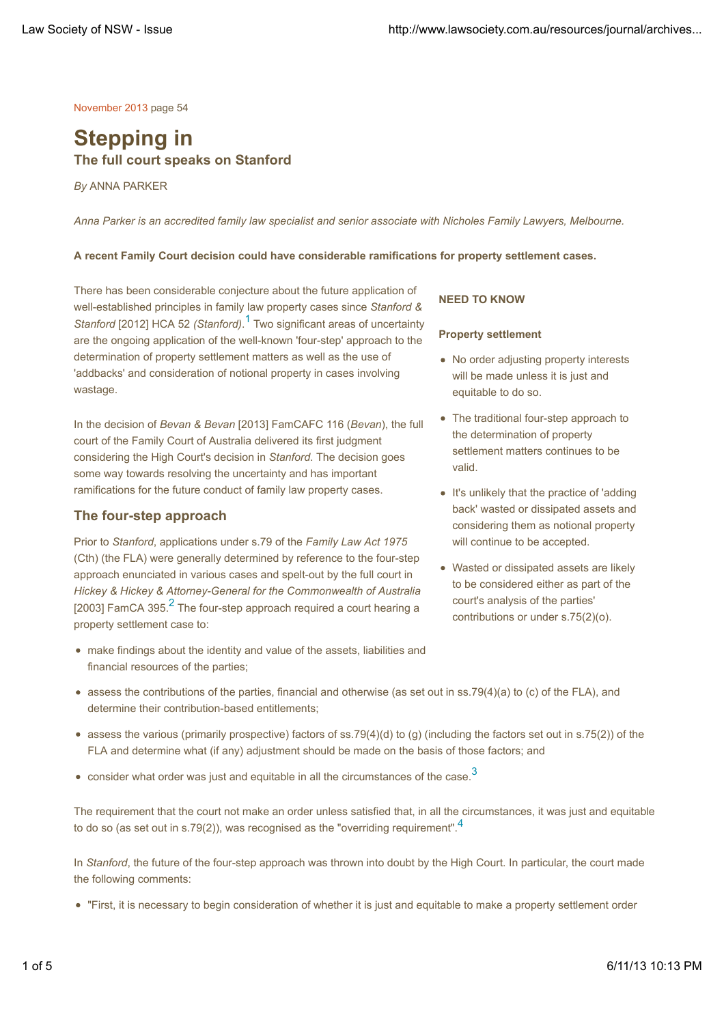November 2013 page 54

# **Stepping in The full court speaks on Stanford**

*By* ANNA PARKER

*Anna Parker is an accredited family law specialist and senior associate with Nicholes Family Lawyers, Melbourne.*

#### **A recent Family Court decision could have considerable ramifications for property settlement cases.**

There has been considerable conjecture about the future application of well-established principles in family law property cases since *Stanford & Stanford* [2012] HCA 52 *(Stanford)*. 1 Two significant areas of uncertainty are the ongoing application of the well-known 'four-step' approach to the determination of property settlement matters as well as the use of 'addbacks' and consideration of notional property in cases involving wastage.

In the decision of *Bevan & Bevan* [2013] FamCAFC 116 (*Bevan*), the full court of the Family Court of Australia delivered its first judgment considering the High Court's decision in *Stanford*. The decision goes some way towards resolving the uncertainty and has important ramifications for the future conduct of family law property cases.

### **The four-step approach**

Prior to *Stanford*, applications under s.79 of the *Family Law Act 1975* (Cth) (the FLA) were generally determined by reference to the four-step approach enunciated in various cases and spelt-out by the full court in *Hickey & Hickey & Attorney-General for the Commonwealth of Australia* [2003] FamCA 395.<sup>2</sup> The four-step approach required a court hearing a property settlement case to:

make findings about the identity and value of the assets, liabilities and financial resources of the parties;

# **NEED TO KNOW**

#### **Property settlement**

- No order adjusting property interests will be made unless it is just and equitable to do so.
- The traditional four-step approach to the determination of property settlement matters continues to be valid.
- It's unlikely that the practice of 'adding back' wasted or dissipated assets and considering them as notional property will continue to be accepted.
- Wasted or dissipated assets are likely to be considered either as part of the court's analysis of the parties' contributions or under s.75(2)(o).
- assess the contributions of the parties, financial and otherwise (as set out in ss.79(4)(a) to (c) of the FLA), and determine their contribution-based entitlements;
- assess the various (primarily prospective) factors of ss.79(4)(d) to (g) (including the factors set out in s.75(2)) of the FLA and determine what (if any) adjustment should be made on the basis of those factors; and
- $\bullet$  consider what order was just and equitable in all the circumstances of the case.<sup>3</sup>

The requirement that the court not make an order unless satisfied that, in all the circumstances, it was just and equitable to do so (as set out in s.79(2)), was recognised as the "overriding requirement".<sup>4</sup>

In *Stanford*, the future of the four-step approach was thrown into doubt by the High Court. In particular, the court made the following comments:

"First, it is necessary to begin consideration of whether it is just and equitable to make a property settlement order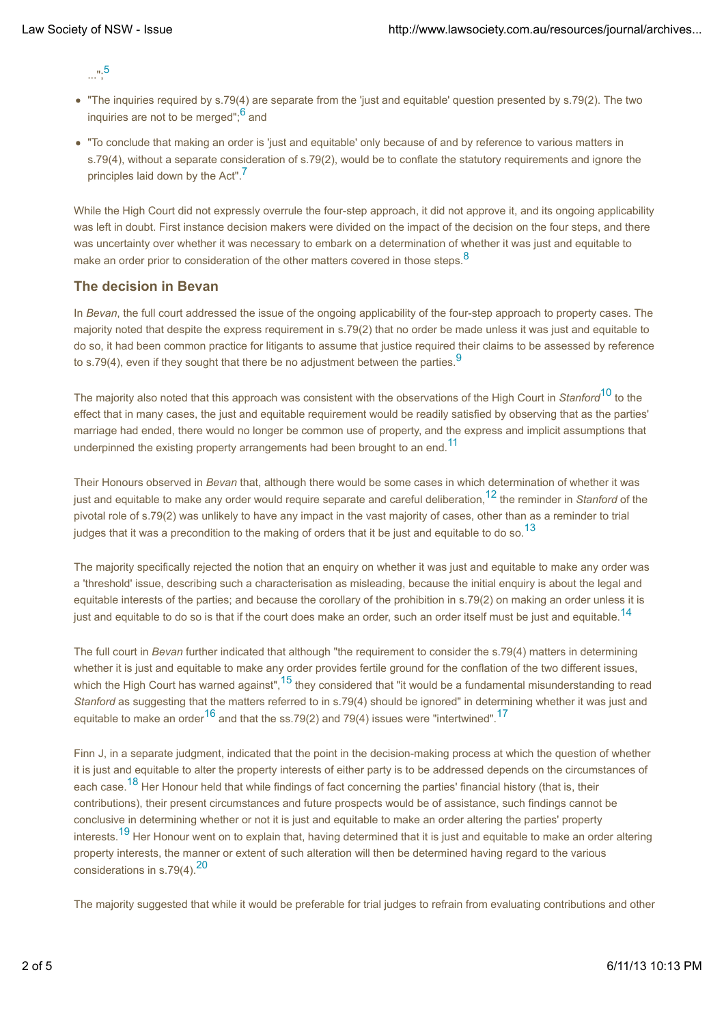$\ldots$ ";5

- "The inquiries required by s.79(4) are separate from the 'just and equitable' question presented by s.79(2). The two inquiries are not to be merged":<sup>6</sup> and
- "To conclude that making an order is 'just and equitable' only because of and by reference to various matters in s.79(4), without a separate consideration of s.79(2), would be to conflate the statutory requirements and ignore the principles laid down by the Act".<sup>7</sup>

While the High Court did not expressly overrule the four-step approach, it did not approve it, and its ongoing applicability was left in doubt. First instance decision makers were divided on the impact of the decision on the four steps, and there was uncertainty over whether it was necessary to embark on a determination of whether it was just and equitable to make an order prior to consideration of the other matters covered in those steps.<sup>8</sup>

# **The decision in Bevan**

In *Bevan*, the full court addressed the issue of the ongoing applicability of the four-step approach to property cases. The majority noted that despite the express requirement in s.79(2) that no order be made unless it was just and equitable to do so, it had been common practice for litigants to assume that justice required their claims to be assessed by reference to s.79(4), even if they sought that there be no adjustment between the parties.  $9$ 

The majority also noted that this approach was consistent with the observations of the High Court in *Stanford*10 to the effect that in many cases, the just and equitable requirement would be readily satisfied by observing that as the parties' marriage had ended, there would no longer be common use of property, and the express and implicit assumptions that underpinned the existing property arrangements had been brought to an end.<sup>11</sup>

Their Honours observed in *Bevan* that, although there would be some cases in which determination of whether it was just and equitable to make any order would require separate and careful deliberation,12 the reminder in *Stanford* of the pivotal role of s.79(2) was unlikely to have any impact in the vast majority of cases, other than as a reminder to trial judges that it was a precondition to the making of orders that it be just and equitable to do so.<sup>13</sup>

The majority specifically rejected the notion that an enquiry on whether it was just and equitable to make any order was a 'threshold' issue, describing such a characterisation as misleading, because the initial enquiry is about the legal and equitable interests of the parties; and because the corollary of the prohibition in s.79(2) on making an order unless it is just and equitable to do so is that if the court does make an order, such an order itself must be just and equitable.<sup>14</sup>

The full court in *Bevan* further indicated that although "the requirement to consider the s.79(4) matters in determining whether it is just and equitable to make any order provides fertile ground for the conflation of the two different issues, which the High Court has warned against",<sup>15</sup> they considered that "it would be a fundamental misunderstanding to read *Stanford* as suggesting that the matters referred to in s.79(4) should be ignored" in determining whether it was just and equitable to make an order<sup>16</sup> and that the ss.79(2) and 79(4) issues were "intertwined".<sup>17</sup>

Finn J, in a separate judgment, indicated that the point in the decision-making process at which the question of whether it is just and equitable to alter the property interests of either party is to be addressed depends on the circumstances of each case.<sup>18</sup> Her Honour held that while findings of fact concerning the parties' financial history (that is, their contributions), their present circumstances and future prospects would be of assistance, such findings cannot be conclusive in determining whether or not it is just and equitable to make an order altering the parties' property interests.<sup>19</sup> Her Honour went on to explain that, having determined that it is just and equitable to make an order altering property interests, the manner or extent of such alteration will then be determined having regard to the various considerations in s.79(4).<sup>20</sup>

The majority suggested that while it would be preferable for trial judges to refrain from evaluating contributions and other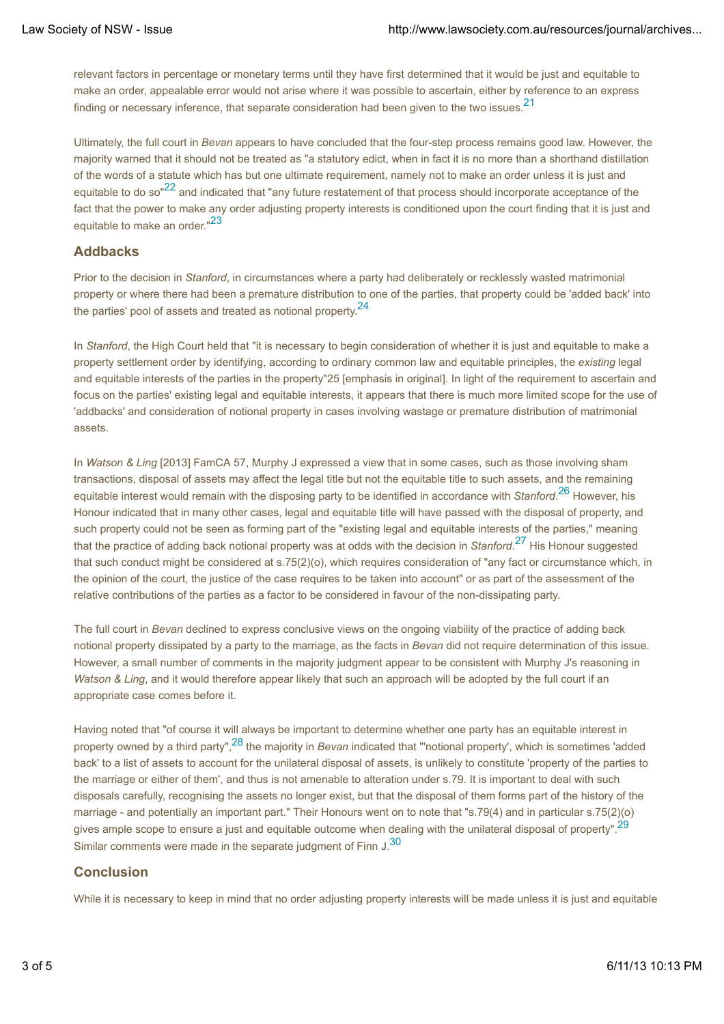relevant factors in percentage or monetary terms until they have first determined that it would be just and equitable to make an order, appealable error would not arise where it was possible to ascertain, either by reference to an express finding or necessary inference, that separate consideration had been given to the two issues.<sup>21</sup>

Ultimately, the full court in *Bevan* appears to have concluded that the four-step process remains good law. However, the majority warned that it should not be treated as "a statutory edict, when in fact it is no more than a shorthand distillation of the words of a statute which has but one ultimate requirement, namely not to make an order unless it is just and equitable to do so<sup>"22</sup> and indicated that "any future restatement of that process should incorporate acceptance of the fact that the power to make any order adjusting property interests is conditioned upon the court finding that it is just and equitable to make an order."<sup>23</sup>

## **Addbacks**

Prior to the decision in *Stanford*, in circumstances where a party had deliberately or recklessly wasted matrimonial property or where there had been a premature distribution to one of the parties, that property could be 'added back' into the parties' pool of assets and treated as notional property.<sup>24</sup>

In *Stanford*, the High Court held that "it is necessary to begin consideration of whether it is just and equitable to make a property settlement order by identifying, according to ordinary common law and equitable principles, the *existing* legal and equitable interests of the parties in the property"25 [emphasis in original]. In light of the requirement to ascertain and focus on the parties' existing legal and equitable interests, it appears that there is much more limited scope for the use of 'addbacks' and consideration of notional property in cases involving wastage or premature distribution of matrimonial assets.

In *Watson & Ling* [2013] FamCA 57, Murphy J expressed a view that in some cases, such as those involving sham transactions, disposal of assets may affect the legal title but not the equitable title to such assets, and the remaining equitable interest would remain with the disposing party to be identified in accordance with *Stanford*. 26 However, his Honour indicated that in many other cases, legal and equitable title will have passed with the disposal of property, and such property could not be seen as forming part of the "existing legal and equitable interests of the parties," meaning that the practice of adding back notional property was at odds with the decision in *Stanford*. 27 His Honour suggested that such conduct might be considered at s.75(2)(o), which requires consideration of "any fact or circumstance which, in the opinion of the court, the justice of the case requires to be taken into account" or as part of the assessment of the relative contributions of the parties as a factor to be considered in favour of the non-dissipating party.

The full court in *Bevan* declined to express conclusive views on the ongoing viability of the practice of adding back notional property dissipated by a party to the marriage, as the facts in *Bevan* did not require determination of this issue. However, a small number of comments in the majority judgment appear to be consistent with Murphy J's reasoning in *Watson & Ling*, and it would therefore appear likely that such an approach will be adopted by the full court if an appropriate case comes before it.

Having noted that "of course it will always be important to determine whether one party has an equitable interest in property owned by a third party",28 the majority in *Bevan* indicated that "'notional property', which is sometimes 'added back' to a list of assets to account for the unilateral disposal of assets, is unlikely to constitute 'property of the parties to the marriage or either of them', and thus is not amenable to alteration under s.79. It is important to deal with such disposals carefully, recognising the assets no longer exist, but that the disposal of them forms part of the history of the marriage - and potentially an important part." Their Honours went on to note that "s.79(4) and in particular s.75(2)(o) gives ample scope to ensure a just and equitable outcome when dealing with the unilateral disposal of property".<sup>29</sup> Similar comments were made in the separate judgment of Finn J.<sup>30</sup>

# **Conclusion**

While it is necessary to keep in mind that no order adjusting property interests will be made unless it is just and equitable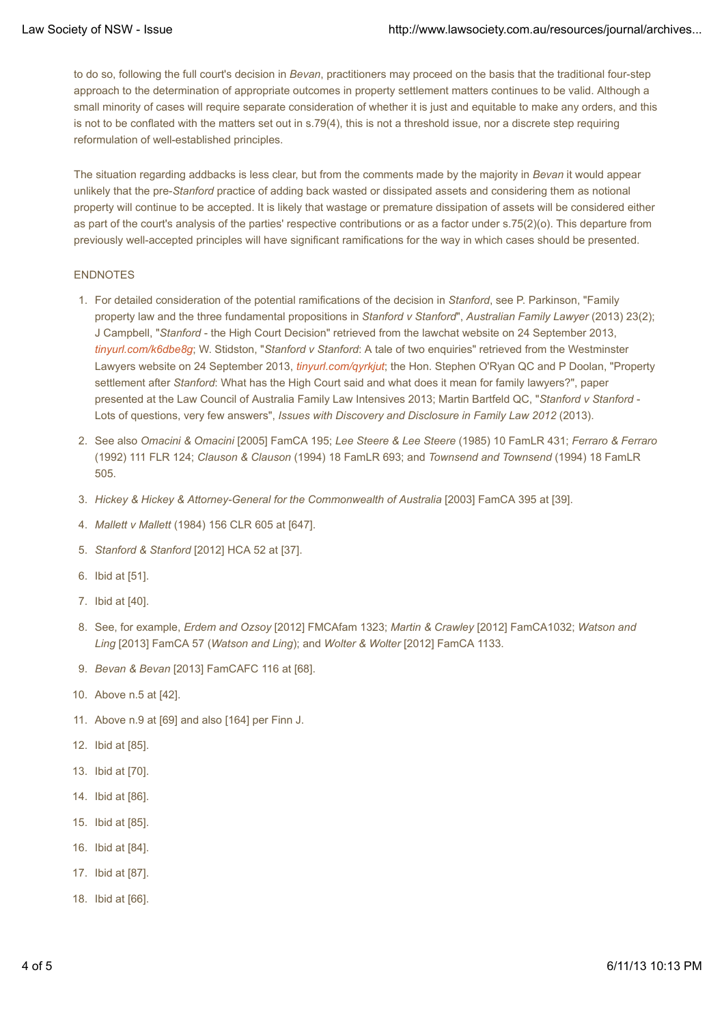to do so, following the full court's decision in *Bevan*, practitioners may proceed on the basis that the traditional four-step approach to the determination of appropriate outcomes in property settlement matters continues to be valid. Although a small minority of cases will require separate consideration of whether it is just and equitable to make any orders, and this is not to be conflated with the matters set out in s.79(4), this is not a threshold issue, nor a discrete step requiring reformulation of well-established principles.

The situation regarding addbacks is less clear, but from the comments made by the majority in *Bevan* it would appear unlikely that the pre-*Stanford* practice of adding back wasted or dissipated assets and considering them as notional property will continue to be accepted. It is likely that wastage or premature dissipation of assets will be considered either as part of the court's analysis of the parties' respective contributions or as a factor under s.75(2)(o). This departure from previously well-accepted principles will have significant ramifications for the way in which cases should be presented.

#### ENDNOTES

- 1. For detailed consideration of the potential ramifications of the decision in *Stanford*, see P. Parkinson, "Family property law and the three fundamental propositions in *Stanford v Stanford*", *Australian Family Lawyer* (2013) 23(2); J Campbell, "*Stanford* - the High Court Decision" retrieved from the lawchat website on 24 September 2013, *tinyurl.com/k6dbe8g*; W. Stidston, "*Stanford v Stanford*: A tale of two enquiries" retrieved from the Westminster Lawyers website on 24 September 2013, *tinyurl.com/qyrkjut*; the Hon. Stephen O'Ryan QC and P Doolan, "Property settlement after *Stanford*: What has the High Court said and what does it mean for family lawyers?", paper presented at the Law Council of Australia Family Law Intensives 2013; Martin Bartfeld QC, "*Stanford v Stanford* - Lots of questions, very few answers", *Issues with Discovery and Disclosure in Family Law 2012* (2013).
- 2. See also *Omacini & Omacini* [2005] FamCA 195; Lee Steere & Lee Steere (1985) 10 FamLR 431; *Ferraro & Ferraro* (1992) 111 FLR 124; *Clauson & Clauson* (1994) 18 FamLR 693; and *Townsend and Townsend* (1994) 18 FamLR 505.
- 3. *Hickey & Hickey & Attorney-General for the Commonwealth of Australia* [2003] FamCA 395 at [39].
- 4. *Mallett v Mallett* (1984) 156 CLR 605 at [647].
- 5. *Stanford & Stanford* [2012] HCA 52 at [37].
- 6. Ibid at [51].
- 7. Ibid at [40].
- See, for example, *Erdem and Ozsoy* [2012] FMCAfam 1323; *Martin & Crawley* [2012] FamCA1032; *Watson and* 8. *Ling* [2013] FamCA 57 (*Watson and Ling*); and *Wolter & Wolter* [2012] FamCA 1133.
- 9. *Bevan & Bevan* [2013] FamCAFC 116 at [68].
- 10. Above n.5 at [42].
- 11. Above n.9 at [69] and also [164] per Finn J.
- 12. Ibid at [85].
- 13. Ibid at [70].
- 14. Ibid at [86].
- 15. Ibid at [85].
- 16. Ibid at [84].
- 17. Ibid at [87].
- 18. Ibid at [66].